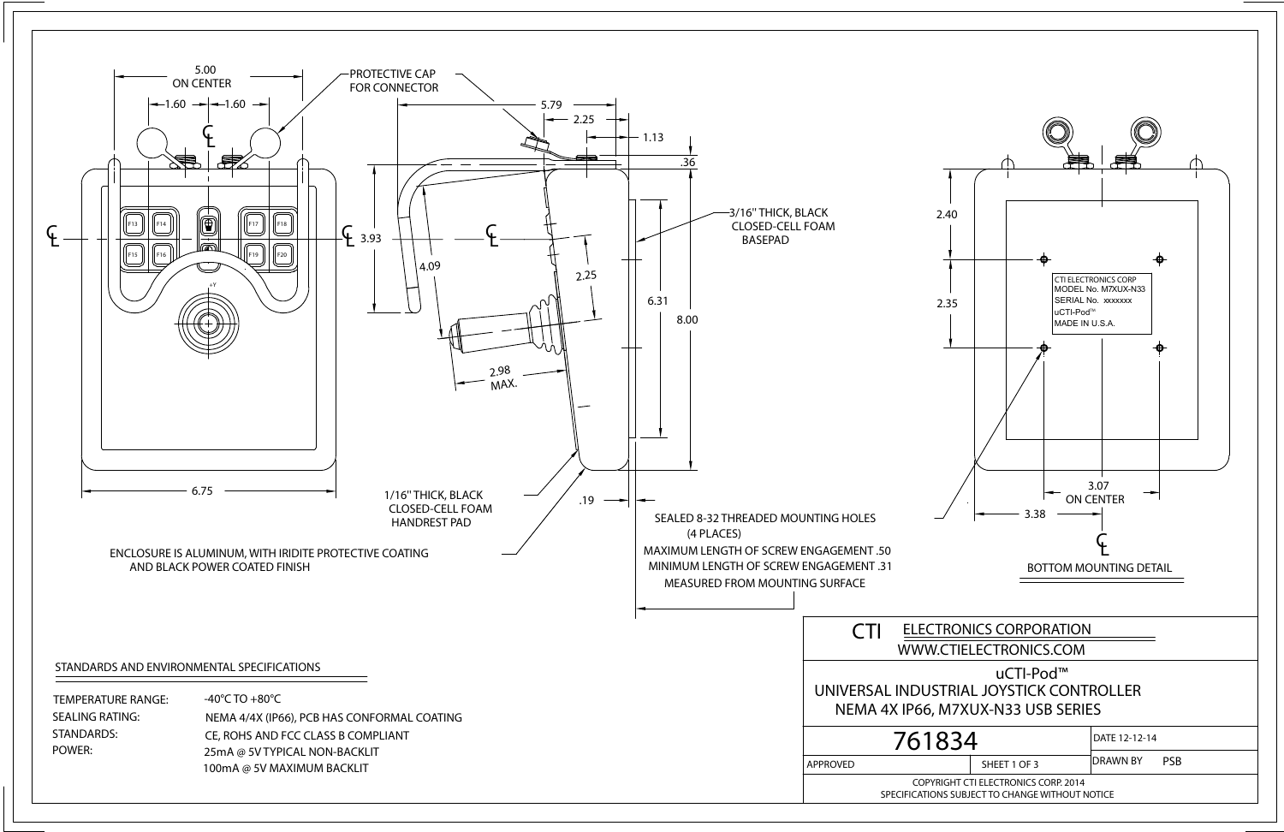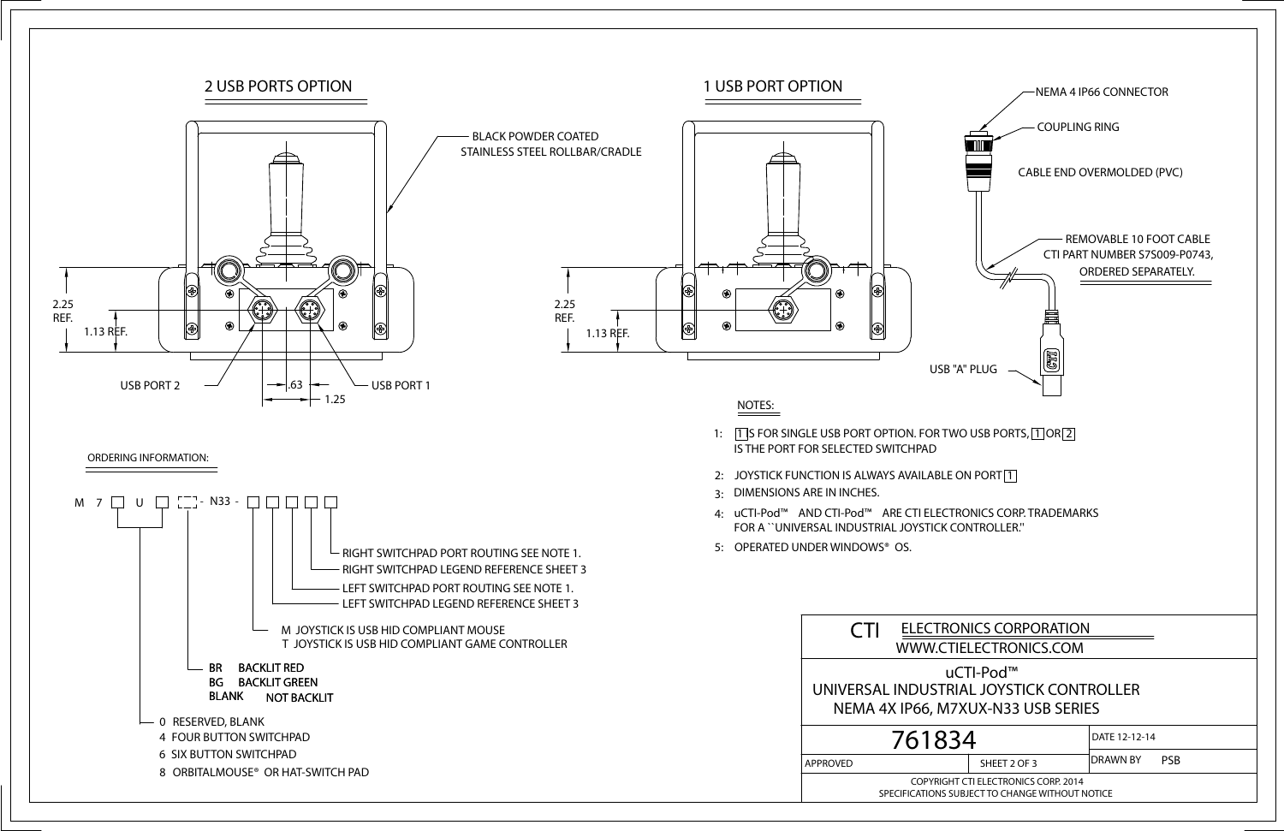